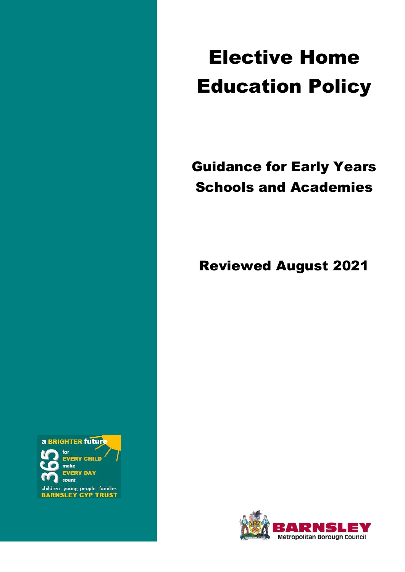# Elective Home Education Policy

# Guidance for Early Years Schools and Academies

Reviewed August 2021

a BRIGHTER future

**EVERY CHILD** make **EVERY DAY** count

children young people families<br>BARNSLEY CYP TRUST

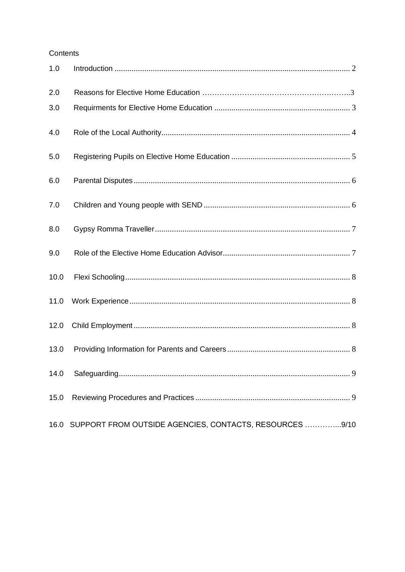# Contents

| 1.0  |                                                              |  |
|------|--------------------------------------------------------------|--|
| 2.0  |                                                              |  |
| 3.0  |                                                              |  |
| 4.0  |                                                              |  |
| 5.0  |                                                              |  |
| 6.0  |                                                              |  |
| 7.0  |                                                              |  |
| 8.0  |                                                              |  |
| 9.0  |                                                              |  |
| 10.0 |                                                              |  |
| 11.0 |                                                              |  |
| 12.0 |                                                              |  |
| 13.0 |                                                              |  |
| 14.0 |                                                              |  |
| 15.0 |                                                              |  |
|      | 16.0 SUPPORT FROM OUTSIDE AGENCIES, CONTACTS, RESOURCES 9/10 |  |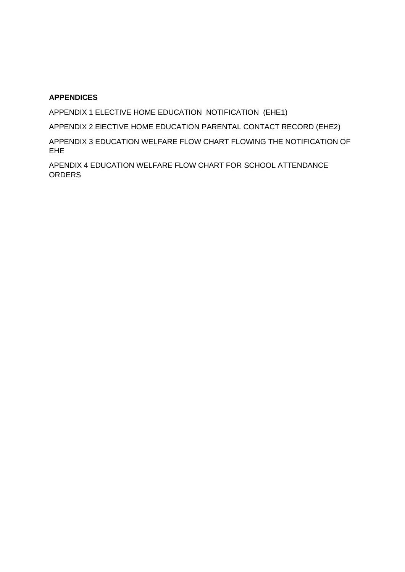# **APPENDICES**

APPENDIX 1 ELECTIVE HOME EDUCATION NOTIFICATION (EHE1)

APPENDIX 2 ElECTIVE HOME EDUCATION PARENTAL CONTACT RECORD (EHE2)

APPENDIX 3 EDUCATION WELFARE FLOW CHART FLOWING THE NOTIFICATION OF EHE

APENDIX 4 EDUCATION WELFARE FLOW CHART FOR SCHOOL ATTENDANCE **ORDERS**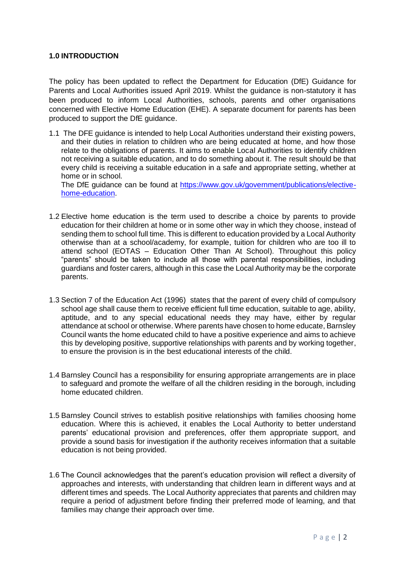#### **1.0 INTRODUCTION**

The policy has been updated to reflect the Department for Education (DfE) Guidance for Parents and Local Authorities issued April 2019. Whilst the guidance is non-statutory it has been produced to inform Local Authorities, schools, parents and other organisations concerned with Elective Home Education (EHE). A separate document for parents has been produced to support the DfE guidance.

1.1 The DFE guidance is intended to help Local Authorities understand their existing powers, and their duties in relation to children who are being educated at home, and how those relate to the obligations of parents. It aims to enable Local Authorities to identify children not receiving a suitable education, and to do something about it. The result should be that every child is receiving a suitable education in a safe and appropriate setting, whether at home or in school.

The DfE guidance can be found at [https://www.gov.uk/government/publications/elective](https://www.gov.uk/government/publications/elective-home-education)[home-education.](https://www.gov.uk/government/publications/elective-home-education)

- 1.2 Elective home education is the term used to describe a choice by parents to provide education for their children at home or in some other way in which they choose, instead of sending them to school full time. This is different to education provided by a Local Authority otherwise than at a school/academy, for example, tuition for children who are too ill to attend school (EOTAS – Education Other Than At School). Throughout this policy "parents" should be taken to include all those with parental responsibilities, including guardians and foster carers, although in this case the Local Authority may be the corporate parents.
- 1.3 Section 7 of the Education Act (1996) states that the parent of every child of compulsory school age shall cause them to receive efficient full time education, suitable to age, ability, aptitude, and to any special educational needs they may have, either by regular attendance at school or otherwise. Where parents have chosen to home educate, Barnsley Council wants the home educated child to have a positive experience and aims to achieve this by developing positive, supportive relationships with parents and by working together, to ensure the provision is in the best educational interests of the child.
- 1.4 Barnsley Council has a responsibility for ensuring appropriate arrangements are in place to safeguard and promote the welfare of all the children residing in the borough, including home educated children.
- 1.5 Barnsley Council strives to establish positive relationships with families choosing home education. Where this is achieved, it enables the Local Authority to better understand parents' educational provision and preferences, offer them appropriate support, and provide a sound basis for investigation if the authority receives information that a suitable education is not being provided.
- 1.6 The Council acknowledges that the parent's education provision will reflect a diversity of approaches and interests, with understanding that children learn in different ways and at different times and speeds. The Local Authority appreciates that parents and children may require a period of adjustment before finding their preferred mode of learning, and that families may change their approach over time.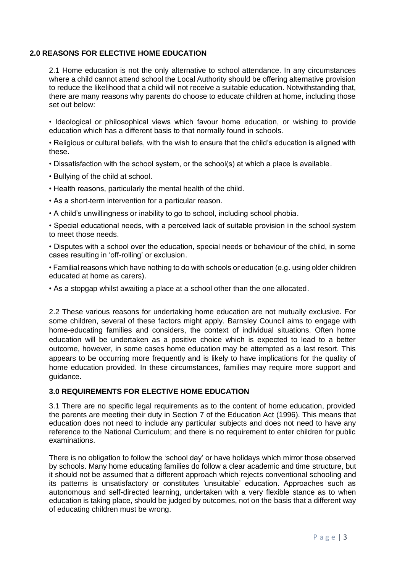#### **2.0 REASONS FOR ELECTIVE HOME EDUCATION**

2.1 Home education is not the only alternative to school attendance. In any circumstances where a child cannot attend school the Local Authority should be offering alternative provision to reduce the likelihood that a child will not receive a suitable education. Notwithstanding that, there are many reasons why parents do choose to educate children at home, including those set out below:

• Ideological or philosophical views which favour home education, or wishing to provide education which has a different basis to that normally found in schools.

• Religious or cultural beliefs, with the wish to ensure that the child's education is aligned with these.

• Dissatisfaction with the school system, or the school(s) at which a place is available.

- Bullying of the child at school.
- Health reasons, particularly the mental health of the child.
- As a short-term intervention for a particular reason.
- A child's unwillingness or inability to go to school, including school phobia.

• Special educational needs, with a perceived lack of suitable provision in the school system to meet those needs.

• Disputes with a school over the education, special needs or behaviour of the child, in some cases resulting in 'off-rolling' or exclusion.

• Familial reasons which have nothing to do with schools or education (e.g. using older children educated at home as carers).

• As a stopgap whilst awaiting a place at a school other than the one allocated.

2.2 These various reasons for undertaking home education are not mutually exclusive. For some children, several of these factors might apply. Barnsley Council aims to engage with home-educating families and considers, the context of individual situations. Often home education will be undertaken as a positive choice which is expected to lead to a better outcome, however, in some cases home education may be attempted as a last resort. This appears to be occurring more frequently and is likely to have implications for the quality of home education provided. In these circumstances, families may require more support and guidance.

#### **3.0 REQUIREMENTS FOR ELECTIVE HOME EDUCATION**

3.1 There are no specific legal requirements as to the content of home education, provided the parents are meeting their duty in Section 7 of the Education Act (1996). This means that education does not need to include any particular subjects and does not need to have any reference to the National Curriculum; and there is no requirement to enter children for public examinations.

There is no obligation to follow the 'school day' or have holidays which mirror those observed by schools. Many home educating families do follow a clear academic and time structure, but it should not be assumed that a different approach which rejects conventional schooling and its patterns is unsatisfactory or constitutes 'unsuitable' education. Approaches such as autonomous and self-directed learning, undertaken with a very flexible stance as to when education is taking place, should be judged by outcomes, not on the basis that a different way of educating children must be wrong.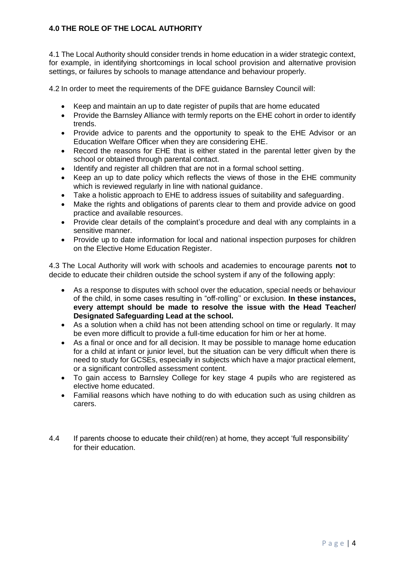# **4.0 THE ROLE OF THE LOCAL AUTHORITY**

4.1 The Local Authority should consider trends in home education in a wider strategic context, for example, in identifying shortcomings in local school provision and alternative provision settings, or failures by schools to manage attendance and behaviour properly.

4.2 In order to meet the requirements of the DFE guidance Barnsley Council will:

- Keep and maintain an up to date register of pupils that are home educated
- Provide the Barnsley Alliance with termly reports on the EHE cohort in order to identify trends.
- Provide advice to parents and the opportunity to speak to the EHE Advisor or an Education Welfare Officer when they are considering EHE.
- Record the reasons for EHE that is either stated in the parental letter given by the school or obtained through parental contact.
- Identify and register all children that are not in a formal school setting.
- Keep an up to date policy which reflects the views of those in the EHE community which is reviewed regularly in line with national guidance.
- Take a holistic approach to EHE to address issues of suitability and safeguarding.
- Make the rights and obligations of parents clear to them and provide advice on good practice and available resources.
- Provide clear details of the complaint's procedure and deal with any complaints in a sensitive manner.
- Provide up to date information for local and national inspection purposes for children on the Elective Home Education Register.

4.3 The Local Authority will work with schools and academies to encourage parents **not** to decide to educate their children outside the school system if any of the following apply:

- As a response to disputes with school over the education, special needs or behaviour of the child, in some cases resulting in "off-rolling'' or exclusion. **In these instances, every attempt should be made to resolve the issue with the Head Teacher/ Designated Safeguarding Lead at the school.**
- As a solution when a child has not been attending school on time or regularly. It may be even more difficult to provide a full-time education for him or her at home.
- As a final or once and for all decision. It may be possible to manage home education for a child at infant or junior level, but the situation can be very difficult when there is need to study for GCSEs, especially in subjects which have a major practical element, or a significant controlled assessment content.
- To gain access to Barnsley College for key stage 4 pupils who are registered as elective home educated.
- Familial reasons which have nothing to do with education such as using children as carers.
- 4.4 If parents choose to educate their child(ren) at home, they accept 'full responsibility' for their education.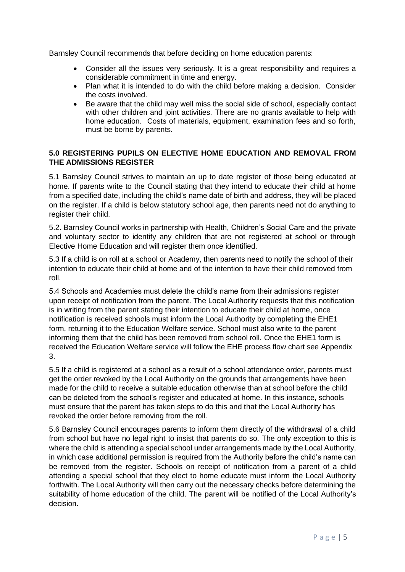Barnsley Council recommends that before deciding on home education parents:

- Consider all the issues very seriously. It is a great responsibility and requires a considerable commitment in time and energy.
- Plan what it is intended to do with the child before making a decision. Consider the costs involved.
- Be aware that the child may well miss the social side of school, especially contact with other children and joint activities. There are no grants available to help with home education. Costs of materials, equipment, examination fees and so forth, must be borne by parents.

## **5.0 REGISTERING PUPILS ON ELECTIVE HOME EDUCATION AND REMOVAL FROM THE ADMISSIONS REGISTER**

5.1 Barnsley Council strives to maintain an up to date register of those being educated at home. If parents write to the Council stating that they intend to educate their child at home from a specified date, including the child's name date of birth and address, they will be placed on the register. If a child is below statutory school age, then parents need not do anything to register their child.

5.2. Barnsley Council works in partnership with Health, Children's Social Care and the private and voluntary sector to identify any children that are not registered at school or through Elective Home Education and will register them once identified.

5.3 If a child is on roll at a school or Academy, then parents need to notify the school of their intention to educate their child at home and of the intention to have their child removed from roll.

5.4 Schools and Academies must delete the child's name from their admissions register upon receipt of notification from the parent. The Local Authority requests that this notification is in writing from the parent stating their intention to educate their child at home, once notification is received schools must inform the Local Authority by completing the EHE1 form, returning it to the Education Welfare service. School must also write to the parent informing them that the child has been removed from school roll. Once the EHE1 form is received the Education Welfare service will follow the EHE process flow chart see Appendix 3.

5.5 If a child is registered at a school as a result of a school attendance order, parents must get the order revoked by the Local Authority on the grounds that arrangements have been made for the child to receive a suitable education otherwise than at school before the child can be deleted from the school's register and educated at home. In this instance, schools must ensure that the parent has taken steps to do this and that the Local Authority has revoked the order before removing from the roll.

5.6 Barnsley Council encourages parents to inform them directly of the withdrawal of a child from school but have no legal right to insist that parents do so. The only exception to this is where the child is attending a special school under arrangements made by the Local Authority, in which case additional permission is required from the Authority before the child's name can be removed from the register. Schools on receipt of notification from a parent of a child attending a special school that they elect to home educate must inform the Local Authority forthwith. The Local Authority will then carry out the necessary checks before determining the suitability of home education of the child. The parent will be notified of the Local Authority's decision.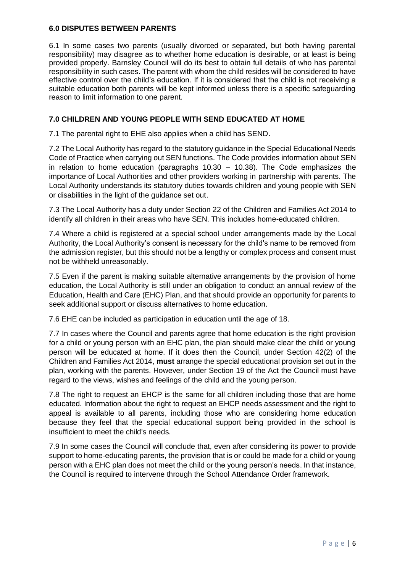#### **6.0 DISPUTES BETWEEN PARENTS**

6.1 In some cases two parents (usually divorced or separated, but both having parental responsibility) may disagree as to whether home education is desirable, or at least is being provided properly. Barnsley Council will do its best to obtain full details of who has parental responsibility in such cases. The parent with whom the child resides will be considered to have effective control over the child's education. If it is considered that the child is not receiving a suitable education both parents will be kept informed unless there is a specific safeguarding reason to limit information to one parent.

#### <span id="page-7-0"></span>**7.0 CHILDREN AND YOUNG PEOPLE WITH SEND EDUCATED AT HOME**

7.1 The parental right to EHE also applies when a child has SEND.

7.2 The Local Authority has regard to the statutory guidance in the Special Educational Needs Code of Practice when carrying out SEN functions. The Code provides information about SEN in relation to home education (paragraphs  $10.30 - 10.38$ ). The Code emphasizes the importance of Local Authorities and other providers working in partnership with parents. The Local Authority understands its statutory duties towards children and young people with SEN or disabilities in the light of the guidance set out.

7.3 The Local Authority has a duty under Section 22 of the Children and Families Act 2014 to identify all children in their areas who have SEN. This includes home-educated children.

7.4 Where a child is registered at a special school under arrangements made by the Local Authority, the Local Authority's consent is necessary for the child's name to be removed from the admission register, but this should not be a lengthy or complex process and consent must not be withheld unreasonably.

7.5 Even if the parent is making suitable alternative arrangements by the provision of home education, the Local Authority is still under an obligation to conduct an annual review of the Education, Health and Care (EHC) Plan, and that should provide an opportunity for parents to seek additional support or discuss alternatives to home education.

7.6 EHE can be included as participation in education until the age of 18.

7.7 In cases where the Council and parents agree that home education is the right provision for a child or young person with an EHC plan, the plan should make clear the child or young person will be educated at home. If it does then the Council, under Section 42(2) of the Children and Families Act 2014, **must** arrange the special educational provision set out in the plan, working with the parents. However, under Section 19 of the Act the Council must have regard to the views, wishes and feelings of the child and the young person.

7.8 The right to request an EHCP is the same for all children including those that are home educated. Information about the right to request an EHCP needs assessment and the right to appeal is available to all parents, including those who are considering home education because they feel that the special educational support being provided in the school is insufficient to meet the child's needs.

7.9 In some cases the Council will conclude that, even after considering its power to provide support to home-educating parents, the provision that is or could be made for a child or young person with a EHC plan does not meet the child or the young person's needs. In that instance, the Council is required to intervene through the School Attendance Order framework.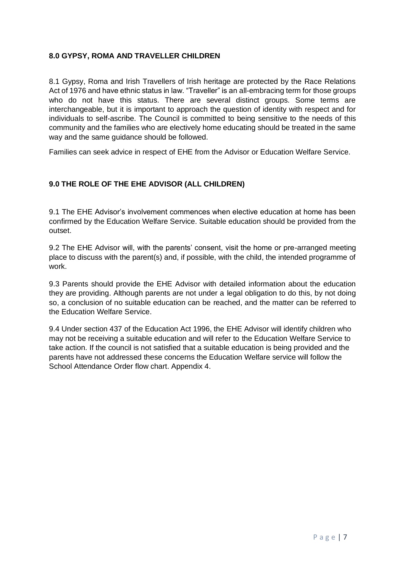## <span id="page-8-0"></span>**8.0 GYPSY, ROMA AND TRAVELLER CHILDREN**

8.1 Gypsy, Roma and Irish Travellers of Irish heritage are protected by the Race Relations Act of 1976 and have ethnic status in law. "Traveller" is an all-embracing term for those groups who do not have this status. There are several distinct groups. Some terms are interchangeable, but it is important to approach the question of identity with respect and for individuals to self-ascribe. The Council is committed to being sensitive to the needs of this community and the families who are electively home educating should be treated in the same way and the same guidance should be followed.

Families can seek advice in respect of EHE from the Advisor or Education Welfare Service.

#### **9.0 THE ROLE OF THE EHE ADVISOR (ALL CHILDREN)**

9.1 The EHE Advisor's involvement commences when elective education at home has been confirmed by the Education Welfare Service. Suitable education should be provided from the outset.

9.2 The EHE Advisor will, with the parents' consent, visit the home or pre-arranged meeting place to discuss with the parent(s) and, if possible, with the child, the intended programme of work.

9.3 Parents should provide the EHE Advisor with detailed information about the education they are providing. Although parents are not under a legal obligation to do this, by not doing so, a conclusion of no suitable education can be reached, and the matter can be referred to the Education Welfare Service.

9.4 Under section 437 of the Education Act 1996, the EHE Advisor will identify children who may not be receiving a suitable education and will refer to the Education Welfare Service to take action. If the council is not satisfied that a suitable education is being provided and the parents have not addressed these concerns the Education Welfare service will follow the School Attendance Order flow chart. Appendix 4.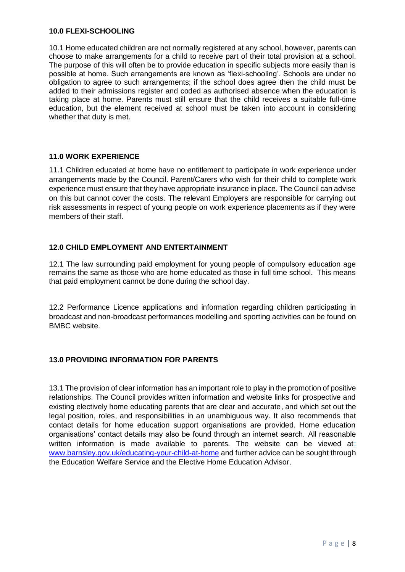#### <span id="page-9-0"></span>**10.0 FLEXI-SCHOOLING**

10.1 Home educated children are not normally registered at any school, however, parents can choose to make arrangements for a child to receive part of their total provision at a school. The purpose of this will often be to provide education in specific subjects more easily than is possible at home. Such arrangements are known as 'flexi-schooling'. Schools are under no obligation to agree to such arrangements; if the school does agree then the child must be added to their admissions register and coded as authorised absence when the education is taking place at home. Parents must still ensure that the child receives a suitable full-time education, but the element received at school must be taken into account in considering whether that duty is met.

#### **11.0 WORK EXPERIENCE**

11.1 Children educated at home have no entitlement to participate in work experience under arrangements made by the Council. Parent/Carers who wish for their child to complete work experience must ensure that they have appropriate insurance in place. The Council can advise on this but cannot cover the costs. The relevant Employers are responsible for carrying out risk assessments in respect of young people on work experience placements as if they were members of their staff.

#### <span id="page-9-1"></span>**12.0 CHILD EMPLOYMENT AND ENTERTAINMENT**

12.1 The law surrounding paid employment for young people of compulsory education age remains the same as those who are home educated as those in full time school. This means that paid employment cannot be done during the school day.

12.2 Performance Licence applications and information regarding children participating in broadcast and non-broadcast performances modelling and sporting activities can be found on BMBC website.

#### <span id="page-9-2"></span>**13.0 PROVIDING INFORMATION FOR PARENTS**

13.1 The provision of clear information has an important role to play in the promotion of positive relationships. The Council provides written information and website links for prospective and existing electively home educating parents that are clear and accurate, and which set out the legal position, roles, and responsibilities in an unambiguous way. It also recommends that contact details for home education support organisations are provided. Home education organisations' contact details may also be found through an internet search. All reasonable written information is made available to parents. The website can be viewed at: [www.barnsley.gov.uk/educating-your-child-at-home](http://www.barnsley.gov.uk/educating-your-child-at-home) and further advice can be sought through the Education Welfare Service and the Elective Home Education Advisor.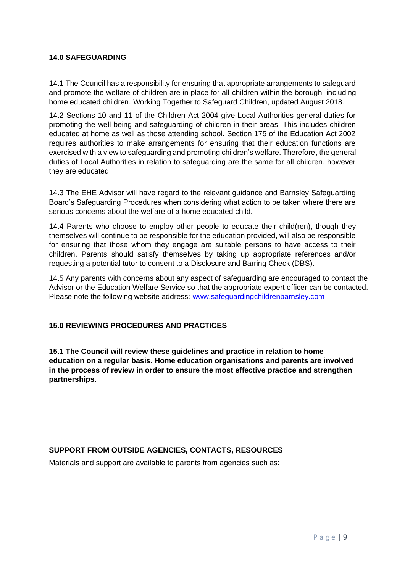#### **14.0 SAFEGUARDING**

14.1 The Council has a responsibility for ensuring that appropriate arrangements to safeguard and promote the welfare of children are in place for all children within the borough, including home educated children. Working Together to Safeguard Children, updated August 2018.

14.2 Sections 10 and 11 of the Children Act 2004 give Local Authorities general duties for promoting the well-being and safeguarding of children in their areas. This includes children educated at home as well as those attending school. Section 175 of the Education Act 2002 requires authorities to make arrangements for ensuring that their education functions are exercised with a view to safeguarding and promoting children's welfare. Therefore, the general duties of Local Authorities in relation to safeguarding are the same for all children, however they are educated.

14.3 The EHE Advisor will have regard to the relevant guidance and Barnsley Safeguarding Board's Safeguarding Procedures when considering what action to be taken where there are serious concerns about the welfare of a home educated child.

14.4 Parents who choose to employ other people to educate their child(ren), though they themselves will continue to be responsible for the education provided, will also be responsible for ensuring that those whom they engage are suitable persons to have access to their children. Parents should satisfy themselves by taking up appropriate references and/or requesting a potential tutor to consent to a Disclosure and Barring Check (DBS).

14.5 Any parents with concerns about any aspect of safeguarding are encouraged to contact the Advisor or the Education Welfare Service so that the appropriate expert officer can be contacted. Please note the following website address: [www.safeguardingchildrenbarnsley.com](http://www.safeguardingchildrenbarnsley.com/)

# **15.0 REVIEWING PROCEDURES AND PRACTICES**

**15.1 The Council will review these guidelines and practice in relation to home education on a regular basis. Home education organisations and parents are involved in the process of review in order to ensure the most effective practice and strengthen partnerships.** 

# **SUPPORT FROM OUTSIDE AGENCIES, CONTACTS, RESOURCES**

Materials and support are available to parents from agencies such as: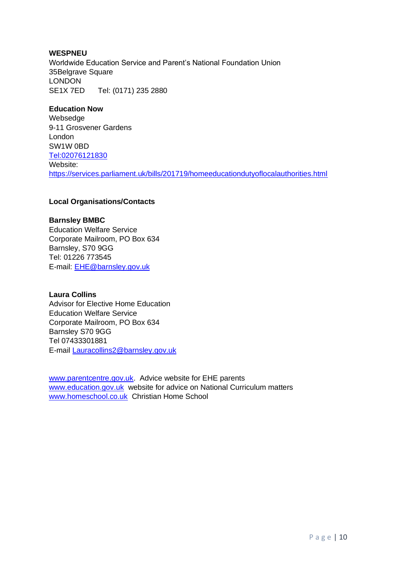#### **WESPNEU**

Worldwide Education Service and Parent's National Foundation Union 35Belgrave Square LONDON SE1X 7ED Tel: (0171) 235 2880

#### **Education Now**

Websedge 9-11 Grosvener Gardens London SW1W 0BD [Tel:02076121830](tel:02076121830) Website: <https://services.parliament.uk/bills/201719/homeeducationdutyoflocalauthorities.html>

#### **Local Organisations/Contacts**

#### **Barnsley BMBC**

Education Welfare Service Corporate Mailroom, PO Box 634 Barnsley, S70 9GG Tel: 01226 773545 E-mail: [EHE@barnsley.gov.uk](mailto:EHE@barnsley.gov.uk)

#### **Laura Collins**

Advisor for Elective Home Education Education Welfare Service Corporate Mailroom, PO Box 634 Barnsley S70 9GG Tel 07433301881 E-mail [Lauracollins2@barnsley.gov.uk](mailto:Lauracollins2@barnsley.gov.uk)

[www.parentcentre.gov.uk.](http://www.parentcentre.gov.uk/) Advice website for EHE parents [www.education.gov.uk](http://www.education.gov.uk/) website for advice on National Curriculum matters [www.homeschool.co.uk](http://www.homeschool.co.uk/) Christian Home School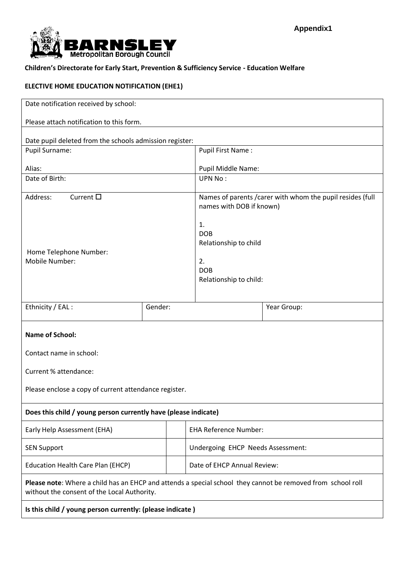

**Children's Directorate for Early Start, Prevention & Sufficiency Service - Education Welfare**

# **ELECTIVE HOME EDUCATION NOTIFICATION (EHE1)**

| Date notification received by school:                                                                                                                      |         |  |                                   |                                                                                        |             |  |
|------------------------------------------------------------------------------------------------------------------------------------------------------------|---------|--|-----------------------------------|----------------------------------------------------------------------------------------|-------------|--|
| Please attach notification to this form.                                                                                                                   |         |  |                                   |                                                                                        |             |  |
| Date pupil deleted from the schools admission register:                                                                                                    |         |  |                                   |                                                                                        |             |  |
| Pupil Surname:                                                                                                                                             |         |  |                                   | Pupil First Name:                                                                      |             |  |
| Alias:                                                                                                                                                     |         |  |                                   | Pupil Middle Name:                                                                     |             |  |
| Date of Birth:                                                                                                                                             |         |  |                                   | <b>UPN No:</b>                                                                         |             |  |
| Current $\square$<br>Address:                                                                                                                              |         |  |                                   | Names of parents / carer with whom the pupil resides (full<br>names with DOB if known) |             |  |
| Home Telephone Number:<br>Mobile Number:                                                                                                                   |         |  |                                   | 1.<br><b>DOB</b><br>Relationship to child<br>2.                                        |             |  |
|                                                                                                                                                            |         |  |                                   | <b>DOB</b><br>Relationship to child:                                                   |             |  |
| Ethnicity / EAL :                                                                                                                                          | Gender: |  |                                   |                                                                                        | Year Group: |  |
| <b>Name of School:</b>                                                                                                                                     |         |  |                                   |                                                                                        |             |  |
| Contact name in school:                                                                                                                                    |         |  |                                   |                                                                                        |             |  |
| Current % attendance:                                                                                                                                      |         |  |                                   |                                                                                        |             |  |
| Please enclose a copy of current attendance register.                                                                                                      |         |  |                                   |                                                                                        |             |  |
| Does this child / young person currently have (please indicate)                                                                                            |         |  |                                   |                                                                                        |             |  |
| Early Help Assessment (EHA)                                                                                                                                |         |  | <b>EHA Reference Number:</b>      |                                                                                        |             |  |
| <b>SEN Support</b>                                                                                                                                         |         |  | Undergoing EHCP Needs Assessment: |                                                                                        |             |  |
| <b>Education Health Care Plan (EHCP)</b>                                                                                                                   |         |  | Date of EHCP Annual Review:       |                                                                                        |             |  |
| Please note: Where a child has an EHCP and attends a special school they cannot be removed from school roll<br>without the consent of the Local Authority. |         |  |                                   |                                                                                        |             |  |
| Is this child / young person currently: (please indicate)                                                                                                  |         |  |                                   |                                                                                        |             |  |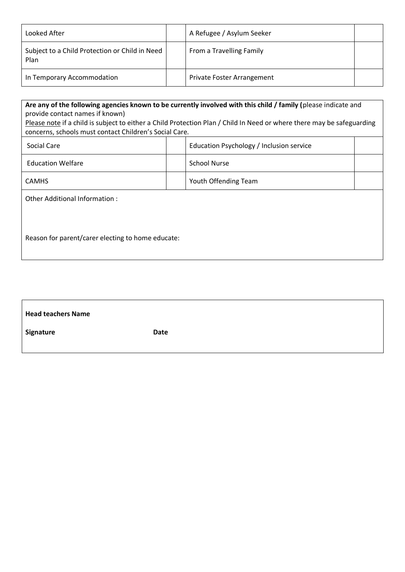| Looked After                                           | A Refugee / Asylum Seeker  |  |
|--------------------------------------------------------|----------------------------|--|
| Subject to a Child Protection or Child in Need<br>Plan | From a Travelling Family   |  |
| In Temporary Accommodation                             | Private Foster Arrangement |  |

| Are any of the following agencies known to be currently involved with this child / family (please indicate and         |  |                                          |  |  |  |
|------------------------------------------------------------------------------------------------------------------------|--|------------------------------------------|--|--|--|
| provide contact names if known)                                                                                        |  |                                          |  |  |  |
| Please note if a child is subject to either a Child Protection Plan / Child In Need or where there may be safeguarding |  |                                          |  |  |  |
| concerns, schools must contact Children's Social Care.                                                                 |  |                                          |  |  |  |
| Social Care                                                                                                            |  | Education Psychology / Inclusion service |  |  |  |
| <b>Education Welfare</b>                                                                                               |  | <b>School Nurse</b>                      |  |  |  |
| <b>CAMHS</b>                                                                                                           |  | Youth Offending Team                     |  |  |  |
| Other Additional Information:                                                                                          |  |                                          |  |  |  |
|                                                                                                                        |  |                                          |  |  |  |
|                                                                                                                        |  |                                          |  |  |  |
| Reason for parent/carer electing to home educate:                                                                      |  |                                          |  |  |  |
|                                                                                                                        |  |                                          |  |  |  |

| <b>Head teachers Name</b> |      |
|---------------------------|------|
| Signature                 | Date |
|                           |      |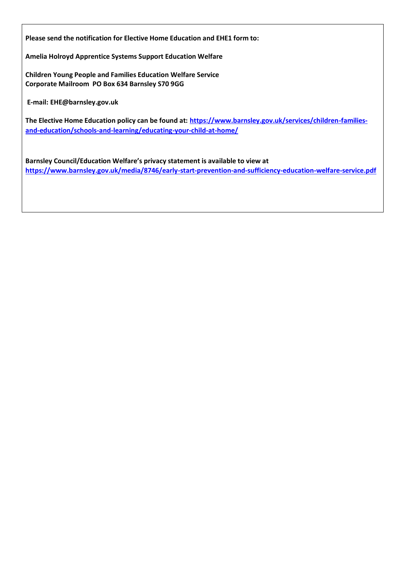**Please send the notification for Elective Home Education and EHE1 form to:**

**Amelia Holroyd Apprentice Systems Support Education Welfare**

**Children Young People and Families Education Welfare Service Corporate Mailroom PO Box 634 Barnsley S70 9GG**

**E-mail: EHE@barnsley.gov.uk**

**The Elective Home Education policy can be found at: [https://www.barnsley.gov.uk/services/children-families](https://www.barnsley.gov.uk/services/children-families-and-education/schools-and-learning/educating-your-child-at-home/)[and-education/schools-and-learning/educating-your-child-at-home/](https://www.barnsley.gov.uk/services/children-families-and-education/schools-and-learning/educating-your-child-at-home/)**

**Barnsley Council/Education Welfare's privacy statement is available to view at <https://www.barnsley.gov.uk/media/8746/early-start-prevention-and-sufficiency-education-welfare-service.pdf>**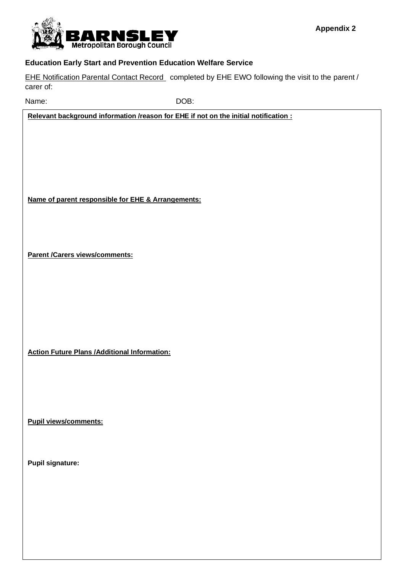

#### **Education Early Start and Prevention Education Welfare Service**

EHE Notification Parental Contact Record completed by EHE EWO following the visit to the parent / carer of:

Name: DOB:

**Relevant background information /reason for EHE if not on the initial notification :**

**Name of parent responsible for EHE & Arrangements:**

**Parent /Carers views/comments:**

**Action Future Plans /Additional Information:**

**Pupil views/comments:**

**Pupil signature:**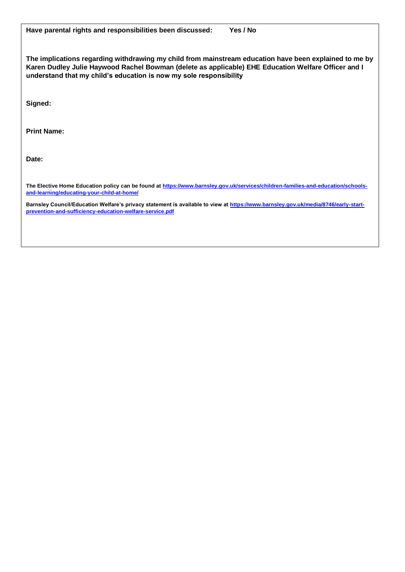| Have parental rights and responsibilities been discussed:<br>Yes / No                                                                                                                                                                                                                                                                                                            |  |
|----------------------------------------------------------------------------------------------------------------------------------------------------------------------------------------------------------------------------------------------------------------------------------------------------------------------------------------------------------------------------------|--|
| The implications regarding withdrawing my child from mainstream education have been explained to me by<br>Karen Dudley Julie Haywood Rachel Bowman (delete as applicable) EHE Education Welfare Officer and I<br>understand that my child's education is now my sole responsibility                                                                                              |  |
| Signed:                                                                                                                                                                                                                                                                                                                                                                          |  |
| <b>Print Name:</b>                                                                                                                                                                                                                                                                                                                                                               |  |
| Date:                                                                                                                                                                                                                                                                                                                                                                            |  |
| The Elective Home Education policy can be found at https://www.barnsley.gov.uk/services/children-families-and-education/schools-<br>and-learning/educating-your-child-at-home/<br>Barnsley Council/Education Welfare's privacy statement is available to view at https://www.barnsley.gov.uk/media/8746/early-start-<br>prevention-and-sufficiency-education-welfare-service.pdf |  |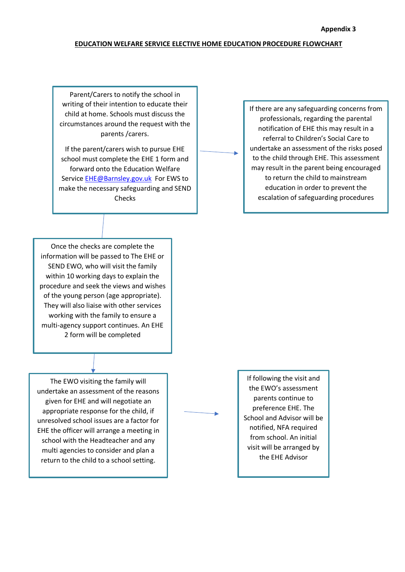#### **EDUCATION WELFARE SERVICE ELECTIVE HOME EDUCATION PROCEDURE FLOWCHART**

Parent/Carers to notify the school in writing of their intention to educate their child at home. Schools must discuss the circumstances around the request with the parents /carers.

If the parent/carers wish to pursue EHE school must complete the EHE 1 form and forward onto the Education Welfare Service [EHE@Barnsley.gov.uk](mailto:EHE@Barnsley.gov.uk) For EWS to make the necessary safeguarding and SEND Checks

If there are any safeguarding concerns from professionals, regarding the parental notification of EHE this may result in a referral to Children's Social Care to undertake an assessment of the risks posed to the child through EHE. This assessment may result in the parent being encouraged to return the child to mainstream education in order to prevent the escalation of safeguarding procedures

Once the checks are complete the information will be passed to The EHE or SEND EWO, who will visit the family within 10 working days to explain the procedure and seek the views and wishes of the young person (age appropriate). They will also liaise with other services working with the family to ensure a multi-agency support continues. An EHE 2 form will be completed

The EWO visiting the family will undertake an assessment of the reasons given for EHE and will negotiate an appropriate response for the child, if unresolved school issues are a factor for EHE the officer will arrange a meeting in school with the Headteacher and any multi agencies to consider and plan a return to the child to a school setting.

If following the visit and the EWO's assessment parents continue to preference EHE. The School and Advisor will be notified, NFA required from school. An initial visit will be arranged by the EHE Advisor